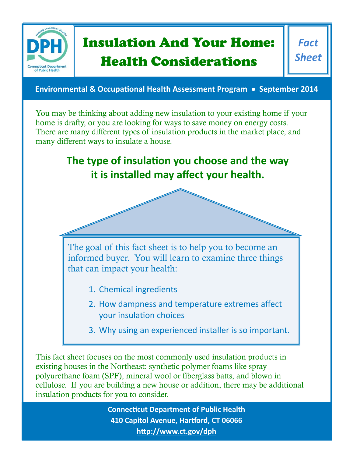

# Insulation And Your Home: Health Considerations

*Fact Sheet*

**Environmental & Occupational Health Assessment Program • September 2014** 

You may be thinking about adding new insulation to your existing home if your home is drafty, or you are looking for ways to save money on energy costs. There are many different types of insulation products in the market place, and many different ways to insulate a house.

## **The type of insulation you choose and the way it is installed may affect your health.**

The goal of this fact sheet is to help you to become an informed buyer. You will learn to examine three things that can impact your health:

- 1. Chemical ingredients
- 2. How dampness and temperature extremes affect your insulation choices
- 3. Why using an experienced installer is so important.

This fact sheet focuses on the most commonly used insulation products in existing houses in the Northeast: synthetic polymer foams like spray polyurethane foam (SPF), mineral wool or fiberglass batts, and blown in cellulose. If you are building a new house or addition, there may be additional insulation products for you to consider.

> **Connecticut Department of Public Health 410 Capitol Avenue, Hartford, CT 06066 <http://www.ct.gov/dph>**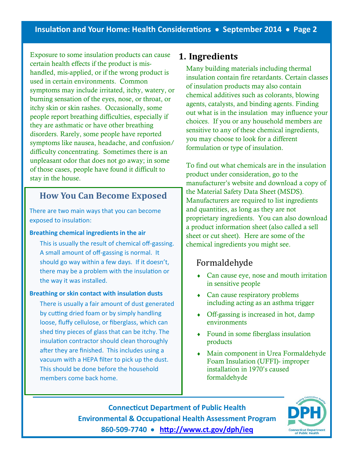Exposure to some insulation products can cause certain health effects if the product is mishandled, mis-applied, or if the wrong product is used in certain environments. Common symptoms may include irritated, itchy, watery, or burning sensation of the eyes, nose, or throat, or itchy skin or skin rashes. Occasionally, some people report breathing difficulties, especially if they are asthmatic or have other breathing disorders. Rarely, some people have reported symptoms like nausea, headache, and confusion/ difficulty concentrating. Sometimes there is an unpleasant odor that does not go away; in some of those cases, people have found it difficult to stay in the house.

## **How You Can Become Exposed**

There are two main ways that you can become exposed to insulation:

#### **Breathing chemical ingredients in the air**

This is usually the result of chemical off-gassing. A small amount of off-gassing is normal. It should go way within a few days. If it doesn't, there may be a problem with the insulation or the way it was installed.

#### **Breathing or skin contact with insulation dusts**

There is usually a fair amount of dust generated by cutting dried foam or by simply handling loose, fluffy cellulose, or fiberglass, which can shed tiny pieces of glass that can be itchy. The insulation contractor should clean thoroughly after they are finished. This includes using a vacuum with a HEPA filter to pick up the dust. This should be done before the household members come back home.

## **1. Ingredients**

Many building materials including thermal insulation contain fire retardants. Certain classes of insulation products may also contain chemical additives such as colorants, blowing agents, catalysts, and binding agents. Finding out what is in the insulation may influence your choices. If you or any household members are sensitive to any of these chemical ingredients, you may choose to look for a different formulation or type of insulation.

To find out what chemicals are in the insulation product under consideration, go to the manufacturer's website and download a copy of the Material Safety Data Sheet (MSDS). Manufacturers are required to list ingredients and quantities, as long as they are not proprietary ingredients. You can also download a product information sheet (also called a sell sheet or cut sheet). Here are some of the chemical ingredients you might see.

## Formaldehyde

- Can cause eye, nose and mouth irritation in sensitive people
- Can cause respiratory problems including acting as an asthma trigger
- Off-gassing is increased in hot, damp environments
- Found in some fiberglass insulation products
- Main component in Urea Formaldehyde Foam Insulation (UFFI)- improper installation in 1970's caused formaldehyde

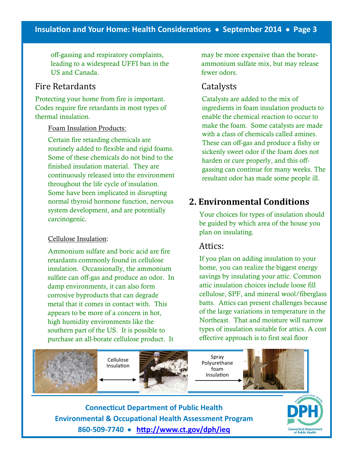## **Insulation and Your Home: Health Considerations September 2014 Page 3**

off-gassing and respiratory complaints, leading to a widespread UFFI ban in the US and Canada.

## Fire Retardants

Protecting your home from fire is important. Codes require fire retardants in most types of thermal insulation.

#### Foam Insulation Products:

Certain fire retarding chemicals are routinely added to flexible and rigid foams. Some of these chemicals do not bind to the finished insulation material. They are continuously released into the environment throughout the life cycle of insulation. Some have been implicated in disrupting normal thyroid hormone function, nervous system development, and are potentially carcinogenic.

#### Cellulose Insulation:

Ammonium sulfate and boric acid are fire retardants commonly found in cellulose insulation. Occassionally, the ammonium sulfate can off-gas and produce an odor. In damp environments, it can also form corrosive byproducts that can degrade metal that it comes in contact with. This appears to be more of a concern in hot, high humidity environments like the southern part of the US. It is possible to purchase an all-borate cellulose product. It

may be more expensive than the borateammonium sulfate mix, but may release fewer odors.

## Catalysts

Catalysts are added to the mix of ingredients in foam insulation products to enable the chemical reaction to occur to make the foam. Some catalysts are made with a class of chemicals called amines. These can off-gas and produce a fishy or sickenly sweet odor if the foam does not harden or cure properly, and this offgassing can continue for many weeks. The resultant odor has made some people ill.

## **2. Environmental Conditions**

Your choices for types of insulation should be guided by which area of the house you plan on insulating.

#### Attics:

If you plan on adding insulation to your home, you can realize the biggest energy savings by insulating your attic. Common attic insulation choices include loose fill cellulose, SPF, and mineral wool/fiberglass batts. Attics can present challenges because of the large variations in temperature in the Northeast. That and moisture will narrow types of insulation suitable for attics. A cost effective approach is to first seal floor



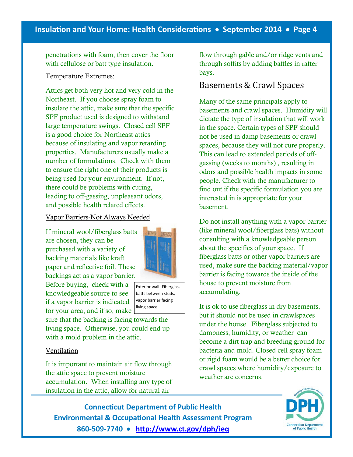penetrations with foam, then cover the floor with cellulose or batt type insulation.

#### Temperature Extremes:

Attics get both very hot and very cold in the Northeast. If you choose spray foam to insulate the attic, make sure that the specific SPF product used is designed to withstand large temperature swings. Closed cell SPF is a good choice for Northeast attics because of insulating and vapor retarding properties. Manufacturers usually make a number of formulations. Check with them to ensure the right one of their products is being used for your environment. If not, there could be problems with curing, leading to off-gassing, unpleasant odors, and possible health related effects.

#### Vapor Barriers-Not Always Needed

If mineral wool/fiberglass batts are chosen, they can be purchased with a variety of backing materials like kraft paper and reflective foil. These backings act as a vapor barrier.

Before buying, check with a knowledgeable source to see if a vapor barrier is indicated for your area, and if so, make

sure that the backing is facing towards the living space. Otherwise, you could end up with a mold problem in the attic.

#### Ventilation

It is important to maintain air flow through the attic space to prevent moisture accumulation. When installing any type of insulation in the attic, allow for natural air

flow through gable and/or ridge vents and through soffits by adding baffles in rafter bays.

## Basements & Crawl Spaces

Many of the same principals apply to basements and crawl spaces. Humidity will dictate the type of insulation that will work in the space. Certain types of SPF should not be used in damp basements or crawl spaces, because they will not cure properly. This can lead to extended periods of offgassing (weeks to months) , resulting in odors and possible health impacts in some people. Check with the manufacturer to find out if the specific formulation you are interested in is appropriate for your basement.

Do not install anything with a vapor barrier (like mineral wool/fiberglass bats) without consulting with a knowledgeable person about the specifics of your space. If fiberglass batts or other vapor barriers are used, make sure the backing material/vapor barrier is facing towards the inside of the house to prevent moisture from accumulating.

It is ok to use fiberglass in dry basements, but it should not be used in crawlspaces under the house. Fiberglass subjected to dampness, humidity, or weather can become a dirt trap and breeding ground for bacteria and mold. Closed cell spray foam or rigid foam would be a better choice for crawl spaces where humidity/exposure to weather are concerns.

**Connecticut Department of Public Health Environmental & Occupational Health Assessment Program 860-509-7740 [http://www.ct.gov/dph/ieq](http://www.ct.gov/dph/ieqC:/Users/heymanm/Documents/ACCESSWK)**



Exterior wall -Fiberglass batts between studs, vapor barrier facing living space.

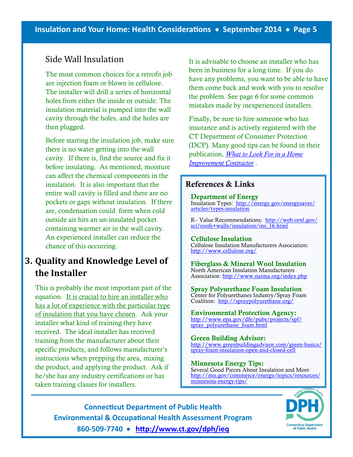## Side Wall Insulation

The most common choices for a retrofit job are injection foam or blown in cellulose. The installer will drill a series of horizontal holes from either the inside or outside. The insulation material is pumped into the wall cavity through the holes, and the holes are then plugged.

Before starting the insulation job, make sure there is no water getting into the wall cavity. If there is, find the source and fix it before insulating. As mentioned, moisture can affect the chemical components in the insulation. It is also important that the entire wall cavity is filled and there are no pockets or gaps without insulation. If there are, condensation could form when cold outside air hits an un-insulated pocket containing warmer air in the wall cavity. An experienced installer can reduce the chance of this occurring.

## **3. Quality and Knowledge Level of the Installer**

This is probably the most important part of the equation. It is crucial to hire an installer who has a lot of experience with the particular type of insulation that you have chosen. Ask your installer what kind of training they have received. The ideal installer has received training from the manufacturer about their specific products, and follows manufacturer's instructions when prepping the area, mixing the product, and applying the product. Ask if he/she has any industry certifications or has taken training classes for installers.

It is advisable to choose an installer who has been in business for a long time. If you do have any problems, you want to be able to have them come back and work with you to resolve the problem. See page 6 for some common mistakes made by inexperienced installers.

Finally, be sure to hire someone who has insurance and is actively registered with the CT Department of Consumer Protection (DCP). Many good tips can be found in their publication, *[What to Look For in a Home](http://www.ct.gov/dcp/cwp/view.asp?a=1625&q=308060)  [Improvement Contractor](http://www.ct.gov/dcp/cwp/view.asp?a=1625&q=308060)* .

#### **References & Links**

**Department of Energy** Insulation Types: [http://energy.gov/energysaver/](http://energy.gov/energysaver/articles/types-insulationC:/Users/heymanm/Documents/ACCESSWK) [articles/types-insulation](http://energy.gov/energysaver/articles/types-insulationC:/Users/heymanm/Documents/ACCESSWK)

R– Value Recommendations: [http://web.ornl.gov/](http://web.ornl.gov/sci/roofs+walls/insulation/ins_16.html) [sci/roofs+walls/insulation/ins\\_16.html](http://web.ornl.gov/sci/roofs+walls/insulation/ins_16.html)

#### **Cellulose Insulation**

Cellulose Insulation Manufacturers Association: <http://www.cellulose.org/>

**Fiberglass & Mineral Wool Insulation** North American Insulation Manufacturers Association:<http://www.naima.org/index.php>

**Spray Polyurethane Foam Insulation** Center for Polyurethanes Industry/Spray Foam Coalition: <http://spraypolyurethane.org/>

**Environmental Protection Agency:**  [http://www.epa.gov/dfe/pubs/projects/spf/](http://www.epa.gov/dfe/pubs/projects/spf/spray_polyurethane_foam.html) [spray\\_polyurethane\\_foam.html](http://www.epa.gov/dfe/pubs/projects/spf/spray_polyurethane_foam.html)

**Green Building Advisor:**  [http://www.greenbuildingadvisor.com/green-basics/](http://www.greenbuildingadvisor.com/green-basics/spray-foam-insulation-open-and-closed-cell) [spray-foam-insulation-open-and-closed-cell](http://www.greenbuildingadvisor.com/green-basics/spray-foam-insulation-open-and-closed-cell)

**Minnesota Energy Tips:** Several Good Pieces About Insulation and More [http://mn.gov/commerce/energy/topics/resources/](http://mn.gov/commerce/energy/topics/resources/minnesota-energy-tips/) [minnesota-energy-tips/](http://mn.gov/commerce/energy/topics/resources/minnesota-energy-tips/)